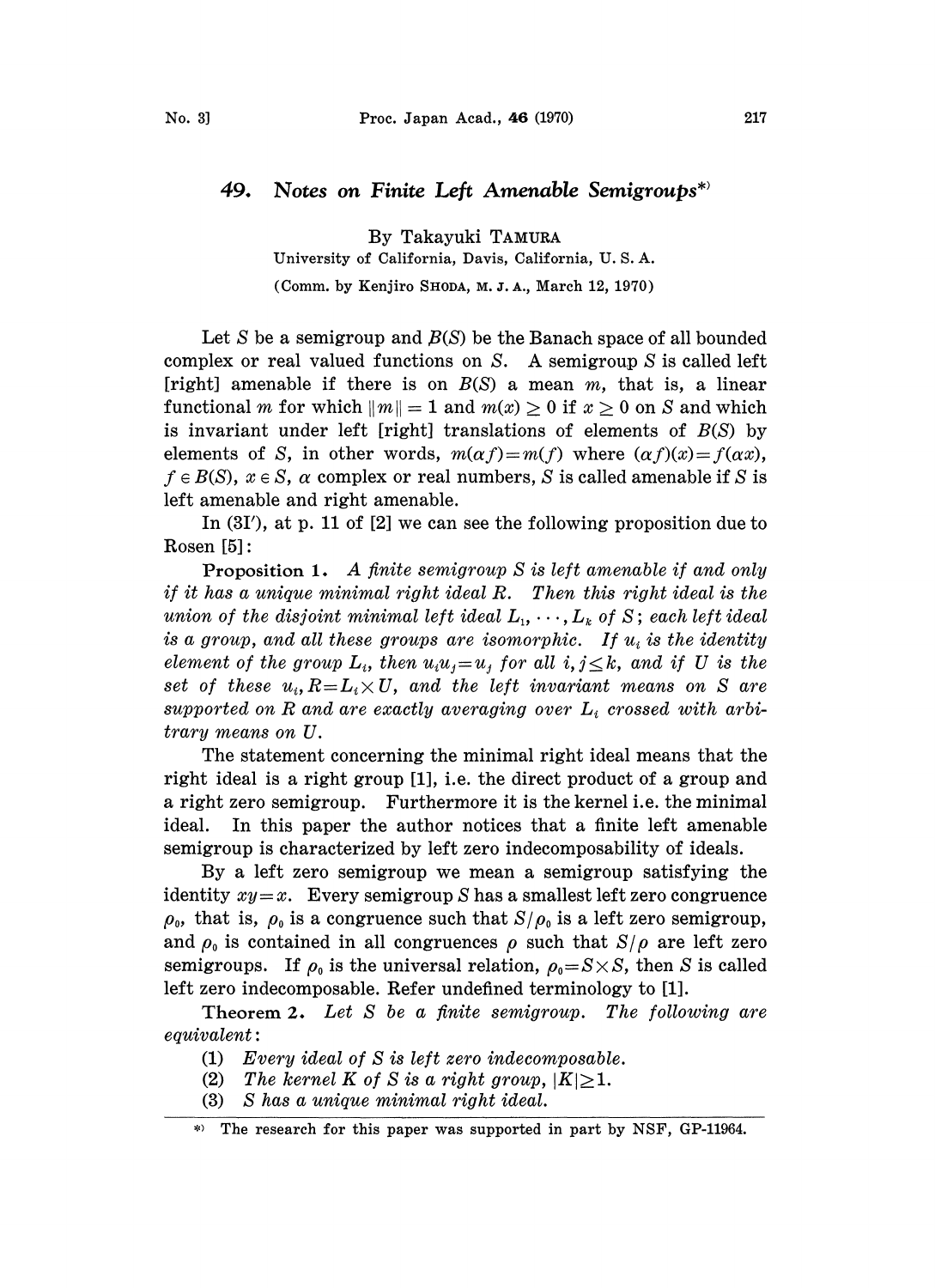## 49. Notes on Finite Left Amenable Semigroups\*

By Takayuki TAMURA

University of California, Davis, California, U. S. A.

(Comm. by Kenjiro SHODA, M. J. A., March 12, 1970)

Let S be a semigroup and  $B(S)$  be the Banach space of all bounded complex or real valued functions on S. A semigroup S is called left [right] amenable if there is on  $B(S)$  a mean m, that is, a linear functional m for which  $||m|| = 1$  and  $m(x) \ge 0$  if  $x \ge 0$  on S and which is invariant under left [right] translations of elements of  $B(S)$  by elements of S, in other words,  $m(\alpha f)=m(f)$  where  $(\alpha f)(x)=f(\alpha x)$ ,  $f \in B(S)$ ,  $x \in S$ ,  $\alpha$  complex or real numbers, S is called amenable if S is left amenable and right amenable.

In (3I'), at p. 11 of [2] we can see the following proposition due to Rosen [5]:

Proposition 1. A finite semigroup S is left amenable if and only if it has a unique minimal right ideal R. Then this right ideal is the union of the disjoint minimal left ideal  $L_1, \dots, L_k$  of S; each left ideal is a group, and all these groups are isomorphic. If  $u_i$  is the identity element of the group  $L_i$ , then  $u_iu_j = u_j$  for all  $i, j \leq k$ , and if U is the set of these  $u_i, R = L_i \times U$ , and the left invariant means on S are supported on R and are exactly averaging over  $L_i$  crossed with arbitrary means on U.

The statement concerning the minimal right ideal means that the right ideal is a right group [1], i.e. the direct product of a group and a right zero semigroup. Furthermore it is the kernel i.e. the minimal ideal. In this paper the author notices that a finite left amenable semigroup is characterized by left zero indecomposability of ideals.

By a left zero semigroup we mean a semigroup satisfying the identity  $xy = x$ . Every semigroup S has a smallest left zero congruence  $\rho_{0}$ , that is,  $\rho_{0}$  is a congruence such that  $S/\rho_{0}$  is a left zero semigroup, and  $\rho_0$  is contained in all congruences  $\rho$  such that  $S/\rho$  are left zero semigroups. If  $\rho_0$  is the universal relation,  $\rho_0 = S \times S$ , then S is called left zero indecomposable. Refer undefined terminology to [1].

Theorem 2. Let S be a finite semigroup. The following are  $equivalent:$ 

- (1) Every ideal of S is left zero indecomposable.
- (2) The kernel K of S is a right group,  $|K|\geq 1$ .
- (3) S has a unique minimal right ideal.

The research for this paper was supported in part by NSF, GP-11964.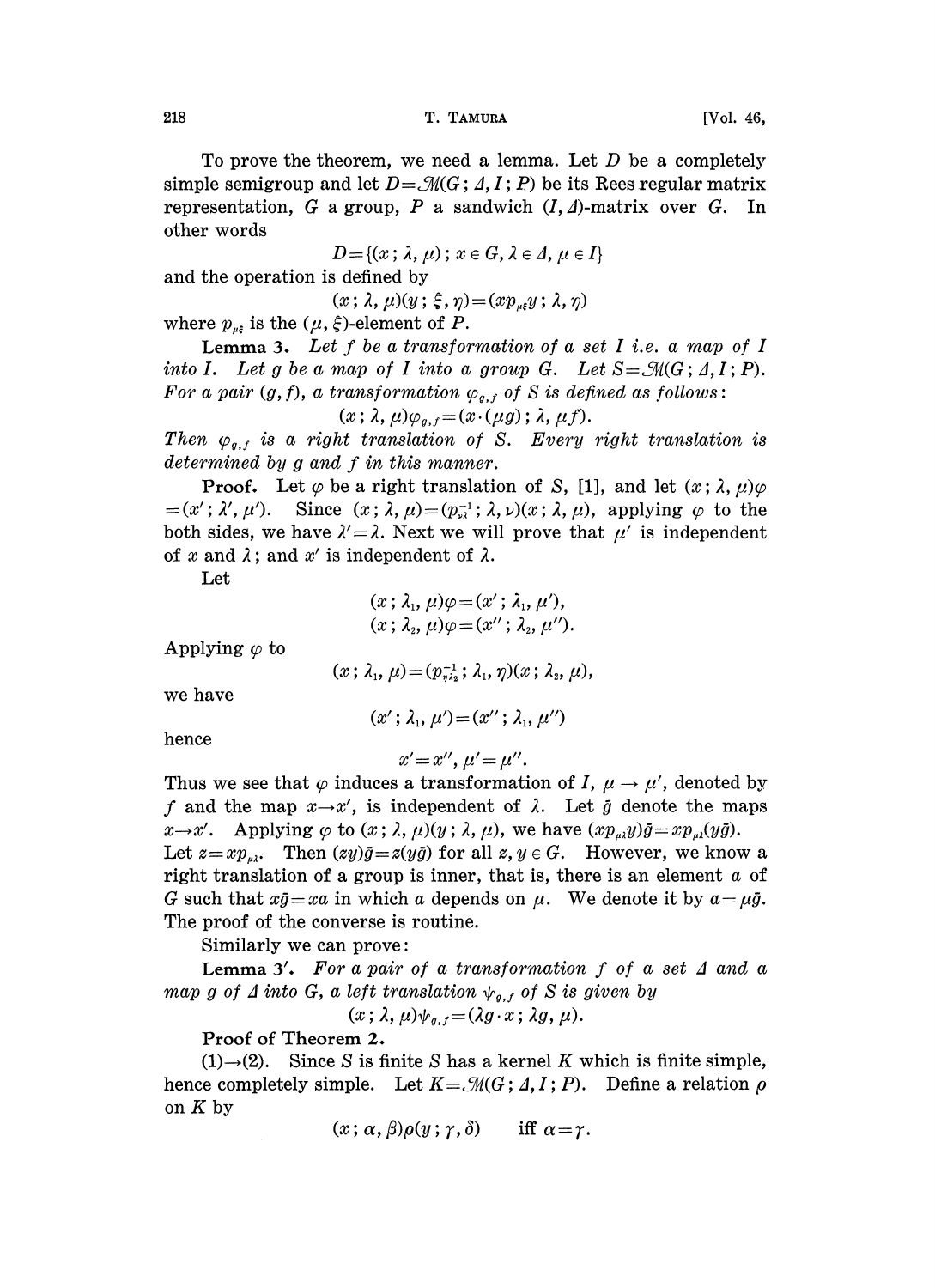To prove the theorem, we need a lemma. Let  $D$  be a completely simple semigroup and let  $D=\mathcal{M}(G; \Lambda, I;P)$  be its Rees regular matrix representation, G a group, P a sandwich  $(I, \Delta)$ -matrix over G. In other words

 $D = \{(x; \lambda, \mu)$ ;  $x \in G, \lambda \in \Lambda, \mu \in I\}$ 

and the operation is defined by

 $(x; \lambda, \mu)(y; \xi, \eta) = (x p_{\mu\xi} y; \lambda, \eta)$ 

where  $p_{\mu \xi}$  is the  $(\mu, \xi)$ -element of P.

Lemma 3. Let  $f$  be a transformation of a set  $I$  i.e. a map of  $I$ into I. Let g be a map of I into a group G. Let  $S = \mathcal{M}(G; \Lambda, I; P)$ . For a pair  $(g, f)$ , a transformation  $\varphi_{g,f}$  of S is defined as follows:

$$
(x\,;\,\lambda,\mu)\varphi_{g,f}=(x\cdot(\mu g)\,;\,\lambda,\mu f).
$$

Then  $\varphi_{q,f}$  is a right translation of S. Every right translation is determined by g and f in this manner.

**Proof.** Let  $\varphi$  be a right translation of S, [1], and let  $(x; \lambda, \mu)\varphi$  $=(x'; \lambda', \mu')$ . Since  $(x; \lambda, \mu)=(p_{\nu\lambda}^{-1}; \lambda, \nu)(x; \lambda, \mu)$ , applying  $\varphi$  to the both sides, we have  $\lambda' = \lambda$ . Next we will prove that  $\mu'$  is independent of x and  $\lambda$ ; and x' is independent of  $\lambda$ .

Let

$$
(x; \lambda_1, \mu)\varphi = (x'; \lambda_1, \mu'),
$$
  

$$
(x; \lambda_2, \mu)\varphi = (x''; \lambda_2, \mu'').
$$

Applying  $\varphi$  to

$$
(x; \lambda_1, \mu) = (p_{\eta\lambda_2}^{-1}; \lambda_1, \eta)(x; \lambda_2, \mu),
$$

we have

$$
(x'; \lambda_1, \mu') = (x''; \lambda_1, \mu'')
$$

hence

$$
x'=x'',\,\mu'=\mu''.
$$

Thus we see that  $\varphi$  induces a transformation of I,  $\mu \to \mu'$ , denoted by f and the map  $x \rightarrow x'$ , is independent of  $\lambda$ . Let  $\bar{g}$  denote the maps  $x \rightarrow x'$ . Applying  $\varphi$  to  $(x; \lambda, \mu)(y; \lambda, \mu)$ , we have  $(xp_{\mu\lambda}y)\bar{g} = xp_{\mu\lambda}(y\bar{g})$ . Let  $z = xp_{\mu\nu}$ . Then  $(zy)\bar{g} = z(y\bar{g})$  for all  $z, y \in G$ . However, we know a right translation of a group is inner, that is, there is an element  $a$  of G such that  $x\bar{g} = xa$  in which a depends on  $\mu$ . We denote it by  $a = \mu\bar{g}$ . The proof of the converse is routine.

Similarly we can prove:

Lemma 3'. For a pair of a transformation  $f$  of a set  $\Delta$  and a map g of  $\Delta$  into G, a left translation  $\psi_{g,f}$  of S is given by

$$
(x; \lambda, \mu)\psi_{g,f} = (\lambda g \cdot x; \lambda g, \mu).
$$

Proof of Theorem 2.

 $(1) \rightarrow (2)$ . Since S is finite S has a kernel K which is finite simple, hence completely simple. Let  $K = \mathcal{M}(G; \Lambda, I; P)$ . Define a relation  $\rho$ on  $K$  by

 $(x; \alpha, \beta)\rho(y; \gamma, \delta)$  iff  $\alpha = \gamma$ .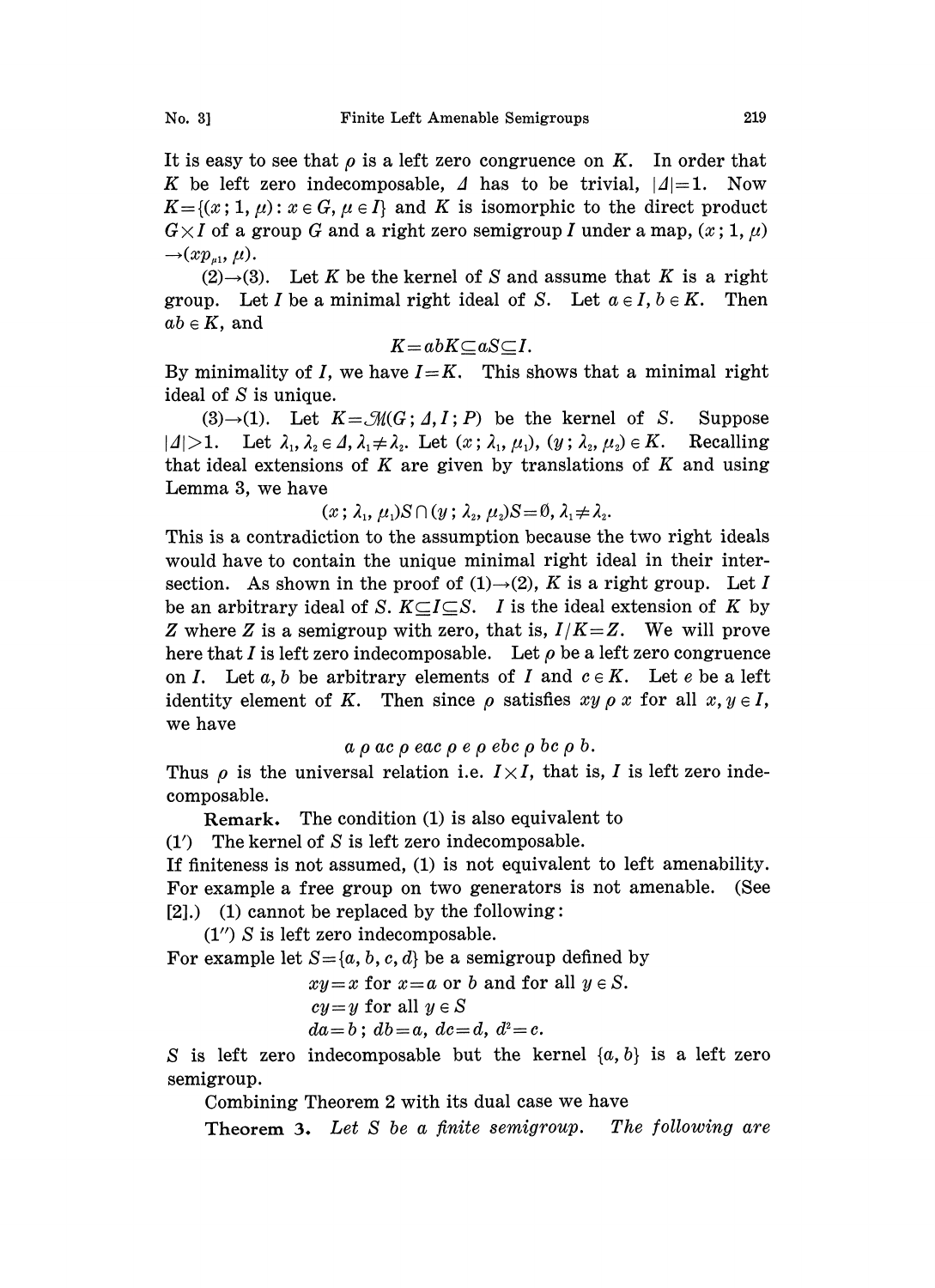$\rightarrow (xp_{u1}, \mu).$  $(2) \rightarrow (3)$ . Let K be the kernel of S and assume that K is a right group. Let I be a minimal right ideal of S. Let  $a \in I$ ,  $b \in K$ . Then  $ab \in K$ , and

$$
K = abK \subseteq aS \subseteq I.
$$

By minimality of I, we have  $I=K$ . This shows that a minimal right ideal of S is unique.

 $(3) \rightarrow (1)$ . Let  $K = \mathcal{M}(G; \Lambda, I; P)$  be the kernel of S. Suppose  $|A|>1$ . Let  $\lambda_1, \lambda_2 \in \Lambda$ ,  $\lambda_1 \neq \lambda_2$ . Let  $(x; \lambda_1, \mu_1), (y; \lambda_2, \mu_2) \in K$ . Recalling that ideal extensions of  $K$  are given by translations of  $K$  and using Lemma 3, we have

$$
(x; \lambda_1, \mu_1)S \cap (y; \lambda_2, \mu_2)S = \emptyset, \lambda_1 \neq \lambda_2.
$$

This is a contradiction to the assumption because the two right ideals would have to contain the unique minimal right ideal in their intersection. As shown in the proof of  $(1) \rightarrow (2)$ , K is a right group. Let I be an arbitrary ideal of S.  $K \subseteq I \subseteq S$ . I is the ideal extension of K by Z where Z is a semigroup with zero, that is,  $I/K = Z$ . We will prove here that I is left zero indecomposable. Let  $\rho$  be a left zero congruence on I. Let a, b be arbitrary elements of I and  $c \in K$ . Let e be a left identity element of K. Then since  $\rho$  satisfies  $xy \rho x$  for all  $x, y \in I$ , we have

 $a \rho a c \rho e a c \rho e \rho e b c \rho b c \rho b.$ 

Thus  $\rho$  is the universal relation i.e.  $I \times I$ , that is, I is left zero indecomposable.

Remark. The condition (1) is also equivalent to

 $(1')$  The kernel of S is left zero indecomposable.

If finiteness is not assumed, (1) is not equivalent to left amenability. For example a free group on two generators is not amenable. (See  $[2]$ .) (1) cannot be replaced by the following:

(1") S is left zero indecomposable.

For example let  $S = \{a, b, c, d\}$  be a semigroup defined by

$$
xy=x
$$
 for  $x=a$  or b and for all  $y \in S$ .  
  $cy=y$  for all  $y \in S$   
  $da=b$ ;  $db=a$ ,  $dc=d$ ,  $d^2=c$ .

S is left zero indecomposable but the kernel  $\{a, b\}$  is a left zero semigroup.

Combining Theorem 2 with its dual case we have

**Theorem 3.** Let S be a finite semigroup. The following are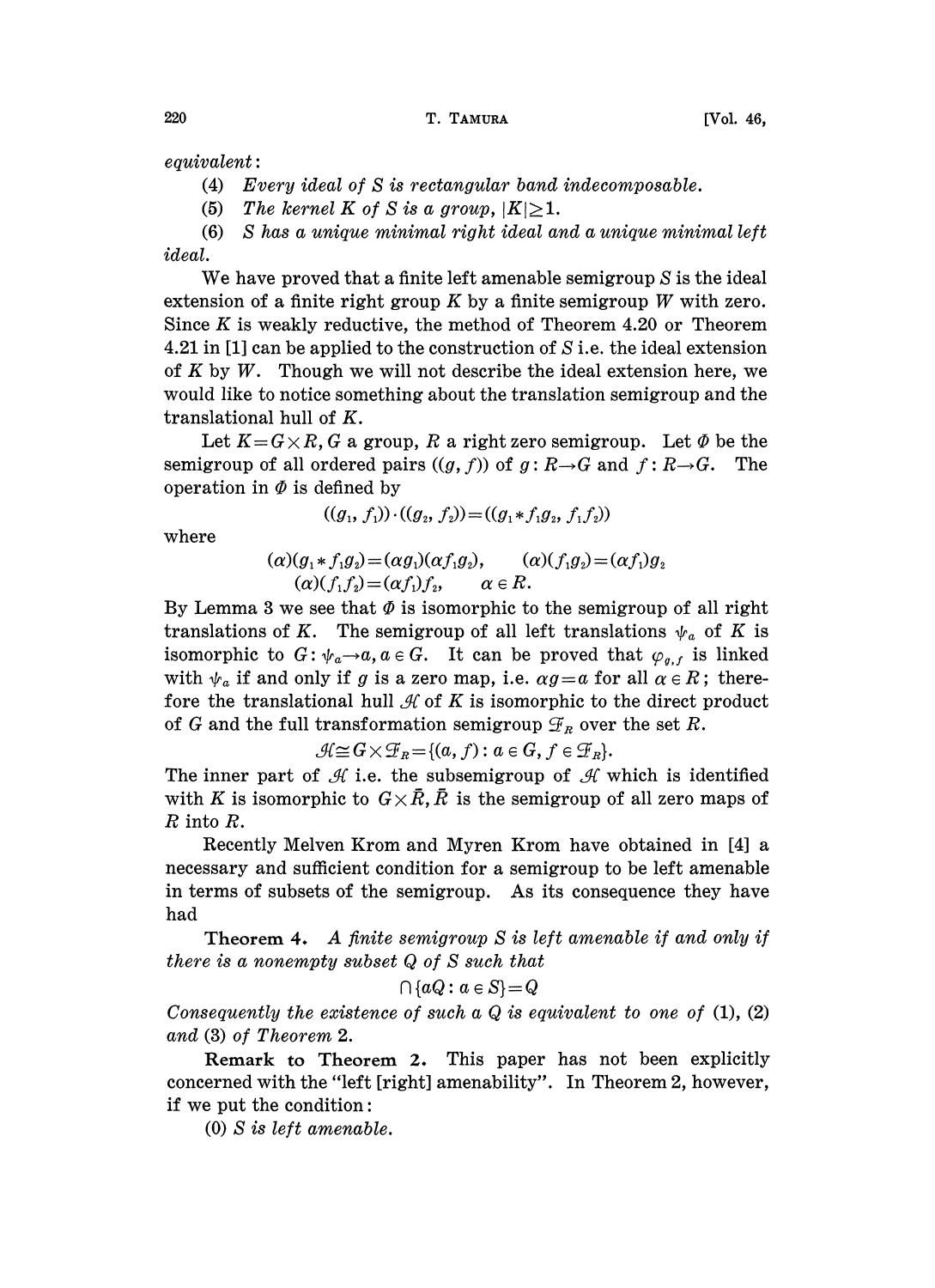$equivalent:$ 

(4) Every ideal of S is rectangular band indecomposable.

(5) The kernel K of S is a group,  $|K|\geq 1$ .

(6) S has a unique minimal right ideal and a unique minimal left ideal.

We have proved that a finite left amenable semigroup S is the ideal extension of a finite right group  $K$  by a finite semigroup  $W$  with zero. Since  $K$  is weakly reductive, the method of Theorem 4.20 or Theorem 4.21 in [1] can be applied to the construction of S i.e. the ideal extension of K by W. Though we will not describe the ideal extension here, we would like to notice something about the translation semigroup and the translational hull of K.

Let  $K = G \times R$ , G a group, R a right zero semigroup. Let  $\Phi$  be the semigroup of all ordered pairs  $((g, f))$  of  $g: R \rightarrow G$  and  $f: R \rightarrow G$ . The operation in  $\Phi$  is defined by

$$
((g_1, f_1)) \cdot ((g_2, f_2)) = ((g_1 * f_1 g_2, f_1 f_2))
$$

where

$$
(\alpha)(g_1 * f_1 g_2) = (\alpha g_1)(\alpha f_1 g_2), \qquad (\alpha)(f_1 g_2) = (\alpha f_1)g_2
$$
  

$$
(\alpha)(f_1 f_2) = (\alpha f_1)f_2, \qquad \alpha \in R.
$$

By Lemma 3 we see that  $\Phi$  is isomorphic to the semigroup of all right translations of K. The semigroup of all left translations  $\psi_a$  of K is isomorphic to  $G: \psi_a \rightarrow a$ ,  $a \in G$ . It can be proved that  $\varphi_{g,f}$  is linked with  $\psi_a$  if and only if g is a zero map, i.e.  $\alpha g = a$  for all  $\alpha \in R$ ; therefore the translational hull  $\mathcal A$  of K is isomorphic to the direct product of G and the full transformation semigroup  $\mathcal{F}_R$  over the set R.

 $\mathcal{H} \cong G \times \mathcal{F}_R = \{(a, f) : a \in G, f \in \mathcal{F}_R\}.$ <br>
f  $\mathcal{H}$  i.e. the subsemigroup of  $\mathcal{H}$  which to  $G \times \overline{R}$ ,  $\overline{R}$  is the semigroup of The inner part of  $\mathcal A$  i.e. the subsemigroup of  $\mathcal A$  which is identified with K is isomorphic to  $G \times \bar{R}$ ,  $\bar{R}$  is the semigroup of all zero maps of R into R.

Recently Melven Krom and Myren Krom have obtained in [4] a necessary and sufficient condition for a semigroup to be left amenable in terms of subsets of the semigroup. As its consequence they have had

Theorem 4. A finite semigroup S is left amenable if and only if there is <sup>a</sup> nonempty subset Q of S such that

$$
\cap \{aQ\colon a\in S\}\!=\!Q
$$

Consequently the existence of such a  $Q$  is equivalent to one of  $(1)$ ,  $(2)$ and (3) of Theorem 2.

Remark to Theorem 2. This paper has not been explicitly concerned with the "left [right] amenability". In Theorem 2, however, if we put the condition:

(0) S is left amenable.